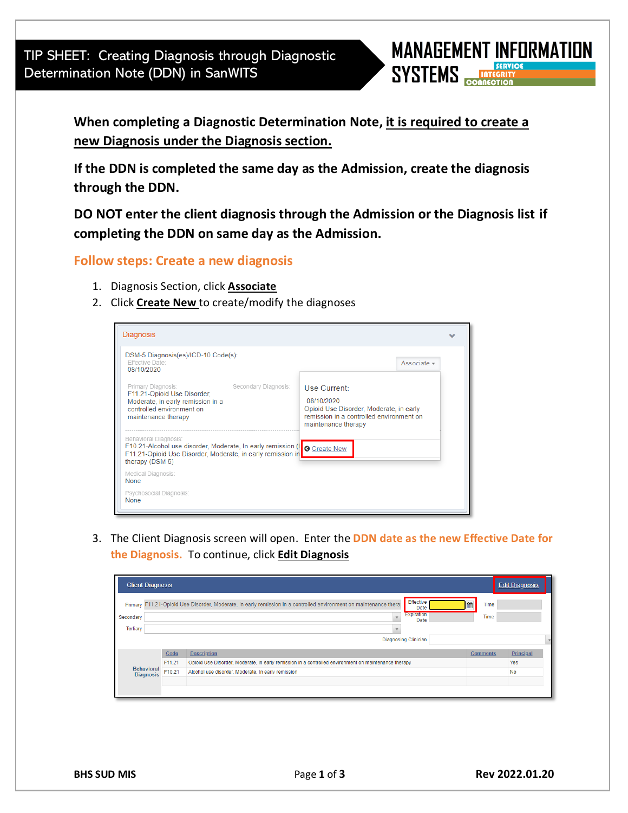TIP SHEET: Creating Diagnosis through Diagnostic Determination Note (DDN) in SanWITS



**When completing a Diagnostic Determination Note, it is required to create a new Diagnosis under the Diagnosis section.**

**If the DDN is completed the same day as the Admission, create the diagnosis through the DDN.** 

**DO NOT enter the client diagnosis through the Admission or the Diagnosis list if completing the DDN on same day as the Admission.**

## **Follow steps: Create a new diagnosis**

- 1. Diagnosis Section, click **Associate**
- 2. Click **Create New** to create/modify the diagnoses



3. The Client Diagnosis screen will open. Enter the **DDN date as the new Effective Date for the Diagnosis.** To continue, click **Edit Diagnosis**

| <b>Client Diagnosis</b>               |                             |        |                                                                                                                                                                      |                   | <b>Edit Diagnosis</b> |  |  |
|---------------------------------------|-----------------------------|--------|----------------------------------------------------------------------------------------------------------------------------------------------------------------------|-------------------|-----------------------|--|--|
| Secondary<br><b>Tertiary</b>          |                             |        | Effective<br>Primary F11.21-Opioid Use Disorder, Moderate, in early remission in a controlled environment on maintenance therar<br>Date<br><b>Expiration</b><br>Date | 曲<br>Time<br>Time |                       |  |  |
|                                       | <b>Diagnosing Clinician</b> |        |                                                                                                                                                                      |                   |                       |  |  |
|                                       |                             | Code   | <b>Description</b>                                                                                                                                                   | <b>Comments</b>   | <b>Principal</b>      |  |  |
| <b>Behavioral</b><br><b>Diagnosis</b> |                             | F11.21 | Opioid Use Disorder, Moderate, in early remission in a controlled environment on maintenance therapy                                                                 |                   | Yes                   |  |  |
|                                       |                             | F10.21 | Alcohol use disorder, Moderate, In early remission                                                                                                                   |                   | <b>No</b>             |  |  |
|                                       |                             |        |                                                                                                                                                                      |                   |                       |  |  |
|                                       |                             |        |                                                                                                                                                                      |                   |                       |  |  |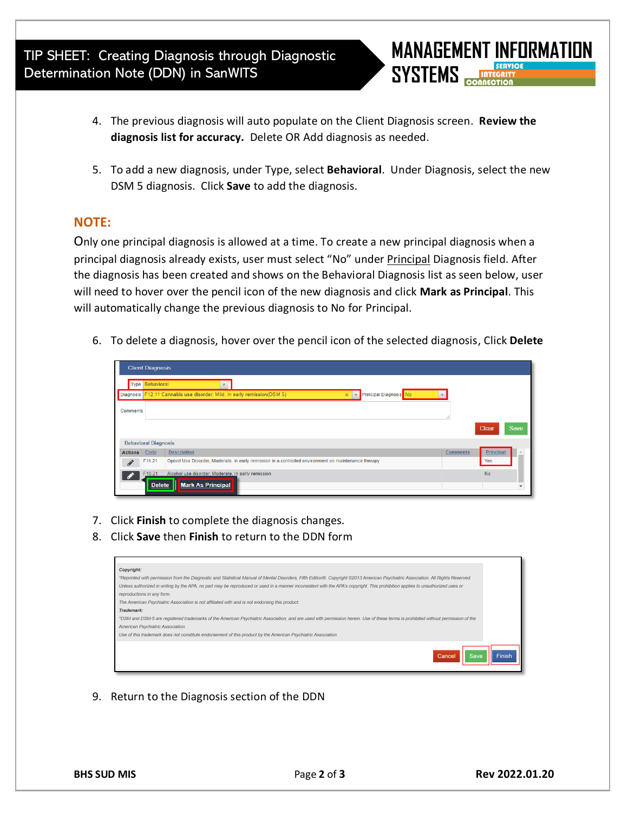TIP SHEET: Creating Diagnosis through Diagnostic Determination Note (DDN) in SanWITS

- **MANAGEMENT INFORMATION SYSTEMS**
- 4. The previous diagnosis will auto populate on the Client Diagnosis screen. **Review the diagnosis list for accuracy.** Delete OR Add diagnosis as needed.
- 5. To add a new diagnosis, under Type, select **Behavioral**. Under Diagnosis, select the new DSM 5 diagnosis. Click **Save** to add the diagnosis.

## **NOTE:**

Only one principal diagnosis is allowed at a time. To create a new principal diagnosis when a principal diagnosis already exists, user must select "No" under Principal Diagnosis field. After the diagnosis has been created and shows on the Behavioral Diagnosis list as seen below, user will need to hover over the pencil icon of the new diagnosis and click **Mark as Principal**. This will automatically change the previous diagnosis to No for Principal.

6. To delete a diagnosis, hover over the pencil icon of the selected diagnosis, Click **Delete**

|                             | <b>Client Diagnosis</b> |                                                                                                                                          |                              |  |  |  |  |  |  |
|-----------------------------|-------------------------|------------------------------------------------------------------------------------------------------------------------------------------|------------------------------|--|--|--|--|--|--|
|                             | Type Behavioral         |                                                                                                                                          |                              |  |  |  |  |  |  |
|                             |                         | Principal Diagnosis <sup>No</sup><br>Diagnosis F12.11 Cannabis use disorder, Mild, In early remission(DSM 5)<br>$\infty$<br>$\mathbf{v}$ |                              |  |  |  |  |  |  |
| Comments                    |                         |                                                                                                                                          |                              |  |  |  |  |  |  |
|                             |                         |                                                                                                                                          | Clear<br>Save                |  |  |  |  |  |  |
| <b>Behavioral Diagnosis</b> |                         |                                                                                                                                          |                              |  |  |  |  |  |  |
| <b>Actions</b>              | Code                    | <b>Description</b>                                                                                                                       | <b>Comments</b><br>Principal |  |  |  |  |  |  |
| $\mathscr{L}$               | F11.21                  | Opioid Use Disorder, Moderate, in early remission in a controlled environment on maintenance therapy                                     | Yes                          |  |  |  |  |  |  |
|                             | F10.21<br><b>Delete</b> | Alcohol use disorder, Moderate, In early remission<br><b>Mark As Principal</b>                                                           | <b>No</b>                    |  |  |  |  |  |  |

- 7. Click **Finish** to complete the diagnosis changes.
- 8. Click **Save** then **Finish** to return to the DDN form

| Copyright:                                                                                     |                                                                                                                                                                                   |
|------------------------------------------------------------------------------------------------|-----------------------------------------------------------------------------------------------------------------------------------------------------------------------------------|
|                                                                                                | *Reprinted with permission from the Diagnostic and Statistical Manual of Mental Disorders, Fifth Edition®. Copyright @2013 American Psychiatric Association. All Rights Reserved. |
|                                                                                                | Unless authorized in writing by the APA, no part may be reproduced or used in a manner inconsistent with the APA's copyright. This prohibition applies to unauthorized uses or    |
| reproductions in any form.                                                                     |                                                                                                                                                                                   |
| The American Psychiatric Association is not affiliated with and is not endorsing this product. |                                                                                                                                                                                   |
| Trademark:                                                                                     |                                                                                                                                                                                   |
|                                                                                                | *DSM and DSM-5 are registered trademarks of the American Psychiatric Association, and are used with permission herein. Use of these terms is prohibited without permission of the |
| American Psychiatric Association.                                                              |                                                                                                                                                                                   |
|                                                                                                | Use of this trademark does not constitute endorsement of this product by the American Psychiatric Association.                                                                    |

9. Return to the Diagnosis section of the DDN